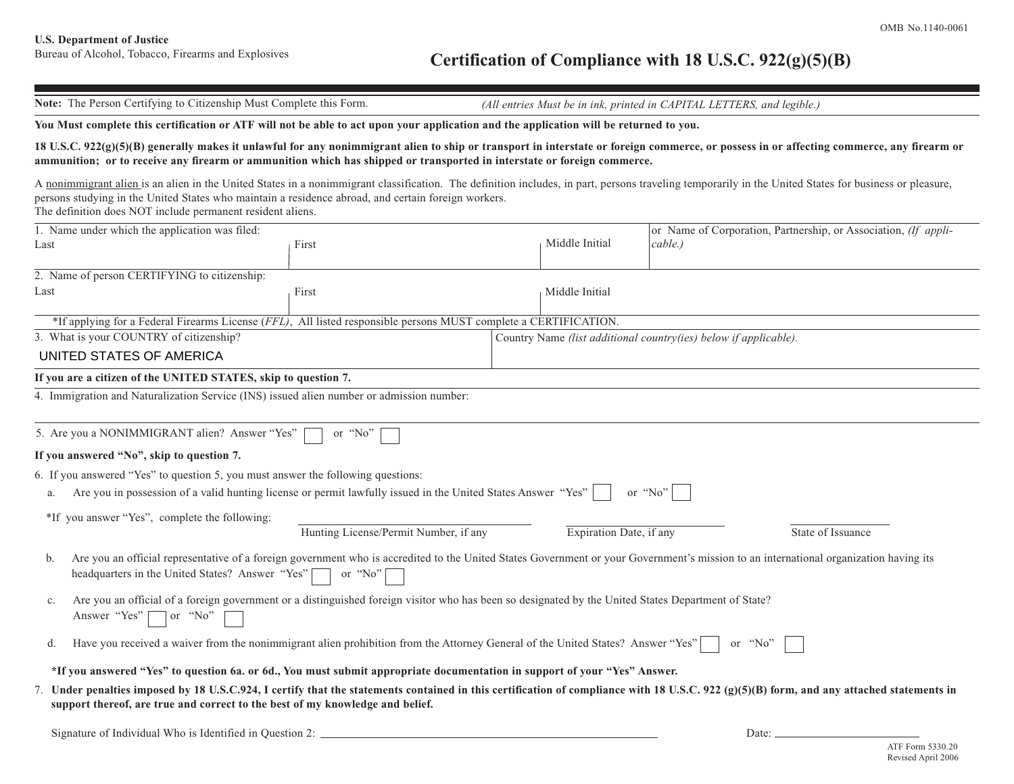## Bureau of Alcohol, Tobacco, Firearms and Explosives **Certification of Compliance with 18 U.S.C. 922(g)(5)(B)**

**Note:** The Person Certifying to Citizenship Must Complete this Form. *(All entries Must be in ink, printed in CAPITAL LETTERS, and legible.)*

## **You Must complete this certification or ATF will not be able to act upon your application and the application will be returned to you.**

## **18 U.S.C. 922(g)(5)(B) generally makes it unlawful for any nonimmigrant alien to ship or transport in interstate or foreign commerce, or possess in or affecting commerce, any firearm or ammunition; or to receive any firearm or ammunition which has shipped or transported in interstate or foreign commerce.**

A nonimmigrant alien is an alien in the United States in a nonimmigrant classification. The definition includes, in part, persons traveling temporarily in the United States for business or pleasure, persons studying in the United States who maintain a residence abroad, and certain foreign workers. The definition does NOT include permanent resident aliens.

| 1. Name under which the application was filed:                 |                                                                                                                                                     |  |                                                                  | or Name of Corporation, Partnership, or Association, (If appli-                                                                                                                           |  |
|----------------------------------------------------------------|-----------------------------------------------------------------------------------------------------------------------------------------------------|--|------------------------------------------------------------------|-------------------------------------------------------------------------------------------------------------------------------------------------------------------------------------------|--|
| Last                                                           | First                                                                                                                                               |  |                                                                  | cable.)                                                                                                                                                                                   |  |
| 2. Name of person CERTIFYING to citizenship:                   |                                                                                                                                                     |  |                                                                  |                                                                                                                                                                                           |  |
| Last<br>First                                                  |                                                                                                                                                     |  | Middle Initial                                                   |                                                                                                                                                                                           |  |
|                                                                | *If applying for a Federal Firearms License (FFL), All listed responsible persons MUST complete a CERTIFICATION.                                    |  |                                                                  |                                                                                                                                                                                           |  |
| 3. What is your COUNTRY of citizenship?                        |                                                                                                                                                     |  | Country Name (list additional country(ies) below if applicable). |                                                                                                                                                                                           |  |
| UNITED STATES OF AMERICA                                       |                                                                                                                                                     |  |                                                                  |                                                                                                                                                                                           |  |
| If you are a citizen of the UNITED STATES, skip to question 7. |                                                                                                                                                     |  |                                                                  |                                                                                                                                                                                           |  |
|                                                                | 4. Immigration and Naturalization Service (INS) issued alien number or admission number:                                                            |  |                                                                  |                                                                                                                                                                                           |  |
|                                                                |                                                                                                                                                     |  |                                                                  |                                                                                                                                                                                           |  |
| 5. Are you a NONIMMIGRANT alien? Answer "Yes"                  | or "No"                                                                                                                                             |  |                                                                  |                                                                                                                                                                                           |  |
| If you answered "No", skip to question 7.                      |                                                                                                                                                     |  |                                                                  |                                                                                                                                                                                           |  |
|                                                                | 6. If you answered "Yes" to question 5, you must answer the following questions:                                                                    |  |                                                                  |                                                                                                                                                                                           |  |
|                                                                | Are you in possession of a valid hunting license or permit lawfully issued in the United States Answer "Yes"                                        |  |                                                                  | or " $No$ "                                                                                                                                                                               |  |
| *If you answer "Yes", complete the following:                  |                                                                                                                                                     |  |                                                                  |                                                                                                                                                                                           |  |
|                                                                | Hunting License/Permit Number, if any                                                                                                               |  | Expiration Date, if any                                          | State of Issuance                                                                                                                                                                         |  |
| b.<br>headquarters in the United States? Answer "Yes" [        | or "No"                                                                                                                                             |  |                                                                  | Are you an official representative of a foreign government who is accredited to the United States Government or your Government's mission to an international organization having its     |  |
| c.<br>Answer "Yes"<br>$\Box$ or "No"                           | Are you an official of a foreign government or a distinguished foreign visitor who has been so designated by the United States Department of State? |  |                                                                  |                                                                                                                                                                                           |  |
|                                                                | Have you received a waiver from the nonimmigrant alien prohibition from the Attorney General of the United States? Answer "Yes"                     |  |                                                                  | or "No"                                                                                                                                                                                   |  |
|                                                                | *If you answered "Yes" to question 6a, or 6d., You must submit appropriate documentation in support of your "Yes" Answer.                           |  |                                                                  |                                                                                                                                                                                           |  |
|                                                                | support thereof, are true and correct to the best of my knowledge and belief.                                                                       |  |                                                                  | 7. Under penalties imposed by 18 U.S.C.924, I certify that the statements contained in this certification of compliance with 18 U.S.C. 922 (g)(5)(B) form, and any attached statements in |  |
| Signature of Individual Who is Identified in Question 2:       |                                                                                                                                                     |  |                                                                  | Date: _                                                                                                                                                                                   |  |